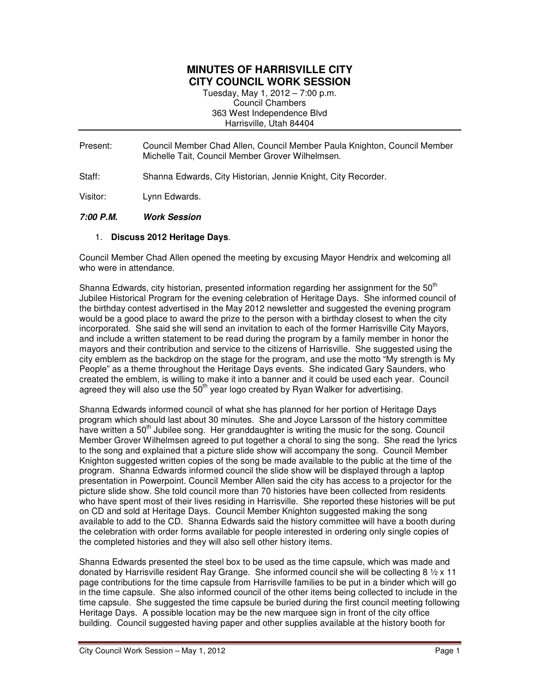## **MINUTES OF HARRISVILLE CITY CITY COUNCIL WORK SESSION**

Tuesday, May 1, 2012 – 7:00 p.m. Council Chambers 363 West Independence Blvd Harrisville, Utah 84404

- Present: Council Member Chad Allen, Council Member Paula Knighton, Council Member Michelle Tait, Council Member Grover Wilhelmsen.
- Staff: Shanna Edwards, City Historian, Jennie Knight, City Recorder.

Visitor: Lynn Edwards.

## **7:00 P.M. Work Session**

## 1. **Discuss 2012 Heritage Days**.

Council Member Chad Allen opened the meeting by excusing Mayor Hendrix and welcoming all who were in attendance.

Shanna Edwards, city historian, presented information regarding her assignment for the 50<sup>th</sup> Jubilee Historical Program for the evening celebration of Heritage Days. She informed council of the birthday contest advertised in the May 2012 newsletter and suggested the evening program would be a good place to award the prize to the person with a birthday closest to when the city incorporated. She said she will send an invitation to each of the former Harrisville City Mayors, and include a written statement to be read during the program by a family member in honor the mayors and their contribution and service to the citizens of Harrisville. She suggested using the city emblem as the backdrop on the stage for the program, and use the motto "My strength is My People" as a theme throughout the Heritage Days events. She indicated Gary Saunders, who created the emblem, is willing to make it into a banner and it could be used each year. Council agreed they will also use the  $50<sup>th</sup>$  year logo created by Ryan Walker for advertising.

Shanna Edwards informed council of what she has planned for her portion of Heritage Days program which should last about 30 minutes. She and Joyce Larsson of the history committee have written a 50<sup>th</sup> Jubilee song. Her granddaughter is writing the music for the song. Council Member Grover Wilhelmsen agreed to put together a choral to sing the song. She read the lyrics to the song and explained that a picture slide show will accompany the song. Council Member Knighton suggested written copies of the song be made available to the public at the time of the program. Shanna Edwards informed council the slide show will be displayed through a laptop presentation in Powerpoint. Council Member Allen said the city has access to a projector for the picture slide show. She told council more than 70 histories have been collected from residents who have spent most of their lives residing in Harrisville. She reported these histories will be put on CD and sold at Heritage Days. Council Member Knighton suggested making the song available to add to the CD. Shanna Edwards said the history committee will have a booth during the celebration with order forms available for people interested in ordering only single copies of the completed histories and they will also sell other history items.

Shanna Edwards presented the steel box to be used as the time capsule, which was made and donated by Harrisville resident Ray Grange. She informed council she will be collecting  $8 \frac{1}{2} \times 11$ page contributions for the time capsule from Harrisville families to be put in a binder which will go in the time capsule. She also informed council of the other items being collected to include in the time capsule. She suggested the time capsule be buried during the first council meeting following Heritage Days. A possible location may be the new marquee sign in front of the city office building. Council suggested having paper and other supplies available at the history booth for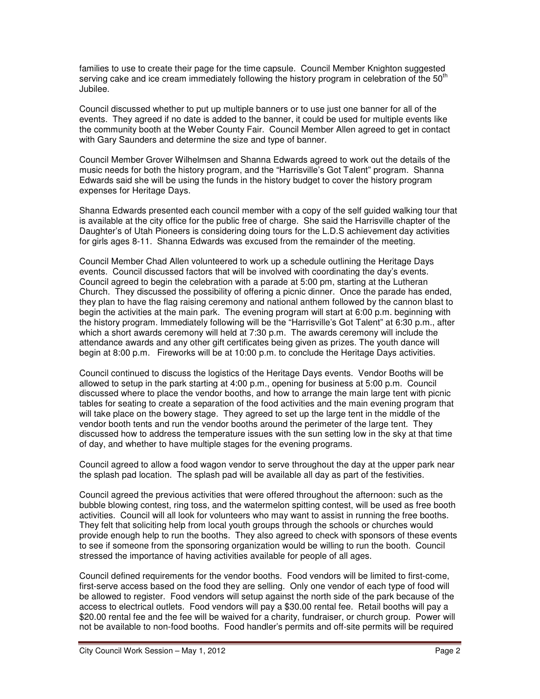families to use to create their page for the time capsule. Council Member Knighton suggested serving cake and ice cream immediately following the history program in celebration of the 50<sup>th</sup> Jubilee.

Council discussed whether to put up multiple banners or to use just one banner for all of the events. They agreed if no date is added to the banner, it could be used for multiple events like the community booth at the Weber County Fair. Council Member Allen agreed to get in contact with Gary Saunders and determine the size and type of banner.

Council Member Grover Wilhelmsen and Shanna Edwards agreed to work out the details of the music needs for both the history program, and the "Harrisville's Got Talent" program. Shanna Edwards said she will be using the funds in the history budget to cover the history program expenses for Heritage Days.

Shanna Edwards presented each council member with a copy of the self guided walking tour that is available at the city office for the public free of charge. She said the Harrisville chapter of the Daughter's of Utah Pioneers is considering doing tours for the L.D.S achievement day activities for girls ages 8-11. Shanna Edwards was excused from the remainder of the meeting.

Council Member Chad Allen volunteered to work up a schedule outlining the Heritage Days events. Council discussed factors that will be involved with coordinating the day's events. Council agreed to begin the celebration with a parade at 5:00 pm, starting at the Lutheran Church. They discussed the possibility of offering a picnic dinner. Once the parade has ended, they plan to have the flag raising ceremony and national anthem followed by the cannon blast to begin the activities at the main park. The evening program will start at 6:00 p.m. beginning with the history program. Immediately following will be the "Harrisville's Got Talent" at 6:30 p.m., after which a short awards ceremony will held at 7:30 p.m. The awards ceremony will include the attendance awards and any other gift certificates being given as prizes. The youth dance will begin at 8:00 p.m. Fireworks will be at 10:00 p.m. to conclude the Heritage Days activities.

Council continued to discuss the logistics of the Heritage Days events. Vendor Booths will be allowed to setup in the park starting at 4:00 p.m., opening for business at 5:00 p.m. Council discussed where to place the vendor booths, and how to arrange the main large tent with picnic tables for seating to create a separation of the food activities and the main evening program that will take place on the bowery stage. They agreed to set up the large tent in the middle of the vendor booth tents and run the vendor booths around the perimeter of the large tent. They discussed how to address the temperature issues with the sun setting low in the sky at that time of day, and whether to have multiple stages for the evening programs.

Council agreed to allow a food wagon vendor to serve throughout the day at the upper park near the splash pad location. The splash pad will be available all day as part of the festivities.

Council agreed the previous activities that were offered throughout the afternoon: such as the bubble blowing contest, ring toss, and the watermelon spitting contest, will be used as free booth activities. Council will all look for volunteers who may want to assist in running the free booths. They felt that soliciting help from local youth groups through the schools or churches would provide enough help to run the booths. They also agreed to check with sponsors of these events to see if someone from the sponsoring organization would be willing to run the booth. Council stressed the importance of having activities available for people of all ages.

Council defined requirements for the vendor booths. Food vendors will be limited to first-come, first-serve access based on the food they are selling. Only one vendor of each type of food will be allowed to register. Food vendors will setup against the north side of the park because of the access to electrical outlets. Food vendors will pay a \$30.00 rental fee. Retail booths will pay a \$20.00 rental fee and the fee will be waived for a charity, fundraiser, or church group. Power will not be available to non-food booths. Food handler's permits and off-site permits will be required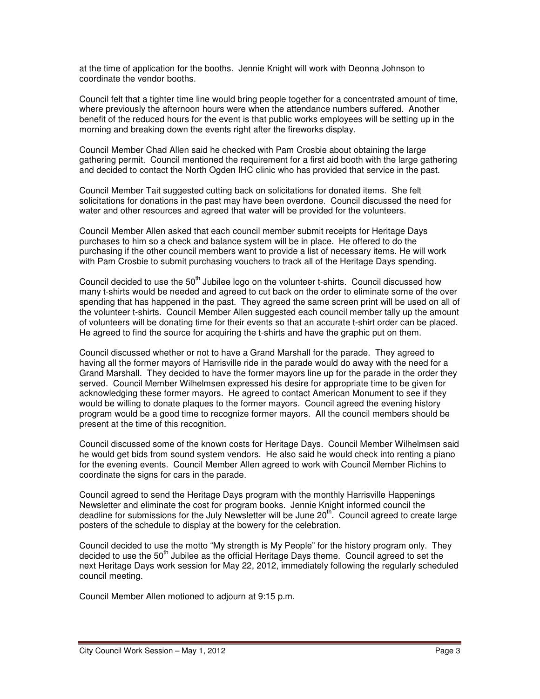at the time of application for the booths. Jennie Knight will work with Deonna Johnson to coordinate the vendor booths.

Council felt that a tighter time line would bring people together for a concentrated amount of time, where previously the afternoon hours were when the attendance numbers suffered. Another benefit of the reduced hours for the event is that public works employees will be setting up in the morning and breaking down the events right after the fireworks display.

Council Member Chad Allen said he checked with Pam Crosbie about obtaining the large gathering permit. Council mentioned the requirement for a first aid booth with the large gathering and decided to contact the North Ogden IHC clinic who has provided that service in the past.

Council Member Tait suggested cutting back on solicitations for donated items. She felt solicitations for donations in the past may have been overdone. Council discussed the need for water and other resources and agreed that water will be provided for the volunteers.

Council Member Allen asked that each council member submit receipts for Heritage Days purchases to him so a check and balance system will be in place. He offered to do the purchasing if the other council members want to provide a list of necessary items. He will work with Pam Crosbie to submit purchasing vouchers to track all of the Heritage Days spending.

Council decided to use the  $50<sup>th</sup>$  Jubilee logo on the volunteer t-shirts. Council discussed how many t-shirts would be needed and agreed to cut back on the order to eliminate some of the over spending that has happened in the past. They agreed the same screen print will be used on all of the volunteer t-shirts. Council Member Allen suggested each council member tally up the amount of volunteers will be donating time for their events so that an accurate t-shirt order can be placed. He agreed to find the source for acquiring the t-shirts and have the graphic put on them.

Council discussed whether or not to have a Grand Marshall for the parade. They agreed to having all the former mayors of Harrisville ride in the parade would do away with the need for a Grand Marshall. They decided to have the former mayors line up for the parade in the order they served. Council Member Wilhelmsen expressed his desire for appropriate time to be given for acknowledging these former mayors. He agreed to contact American Monument to see if they would be willing to donate plaques to the former mayors. Council agreed the evening history program would be a good time to recognize former mayors. All the council members should be present at the time of this recognition.

Council discussed some of the known costs for Heritage Days. Council Member Wilhelmsen said he would get bids from sound system vendors. He also said he would check into renting a piano for the evening events. Council Member Allen agreed to work with Council Member Richins to coordinate the signs for cars in the parade.

Council agreed to send the Heritage Days program with the monthly Harrisville Happenings Newsletter and eliminate the cost for program books. Jennie Knight informed council the deadline for submissions for the July Newsletter will be June  $20<sup>th</sup>$ . Council agreed to create large posters of the schedule to display at the bowery for the celebration.

Council decided to use the motto "My strength is My People" for the history program only. They decided to use the 50<sup>th</sup> Jubilee as the official Heritage Days theme. Council agreed to set the next Heritage Days work session for May 22, 2012, immediately following the regularly scheduled council meeting.

Council Member Allen motioned to adjourn at 9:15 p.m.